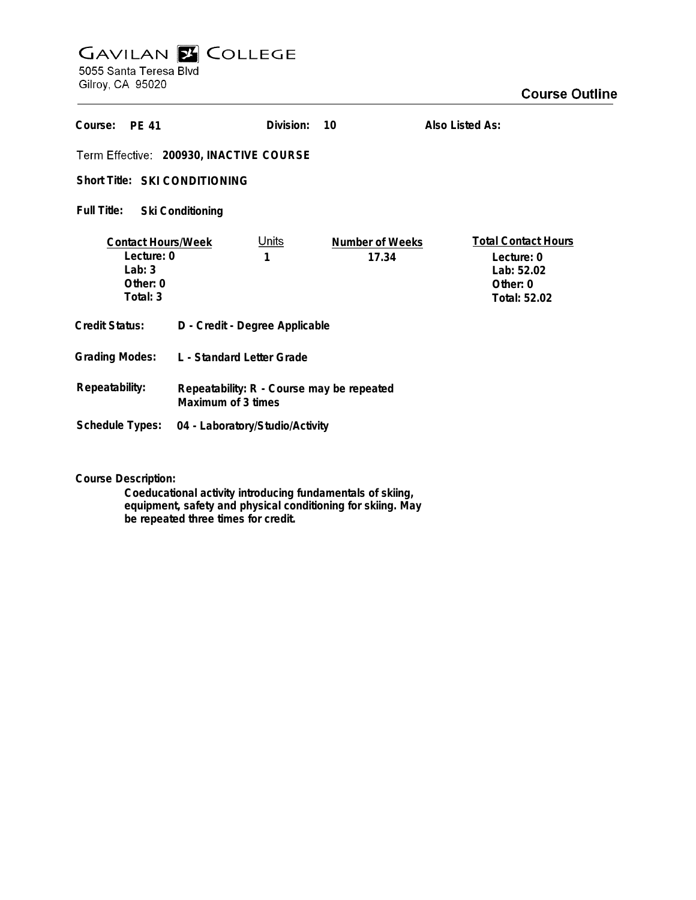## **GAVILAN E COLLEGE**<br>5055 Santa Teresa Blvd

Gilroy, CA 95020

| Course:<br>PF 41                                                            |                                                                 | Division:         | 10                       | Also Listed As:                                                                    |
|-----------------------------------------------------------------------------|-----------------------------------------------------------------|-------------------|--------------------------|------------------------------------------------------------------------------------|
| Term Effective: 200930, INACTIVE COURSE                                     |                                                                 |                   |                          |                                                                                    |
| Short Title: SKI CONDITIONING                                               |                                                                 |                   |                          |                                                                                    |
| Full Title:<br><b>Ski Conditioning</b>                                      |                                                                 |                   |                          |                                                                                    |
| <b>Contact Hours/Week</b><br>Lecture: 0<br>Lab: $3$<br>Other: 0<br>Total: 3 |                                                                 | <u>Units</u><br>1 | Number of Weeks<br>17.34 | <b>Total Contact Hours</b><br>Lecture: 0<br>Lab: 52.02<br>Other: 0<br>Total: 52.02 |
| Credit Status:                                                              | D - Credit - Degree Applicable                                  |                   |                          |                                                                                    |
| <b>Grading Modes:</b>                                                       | L - Standard Letter Grade                                       |                   |                          |                                                                                    |
| Repeatability:                                                              | Repeatability: R - Course may be repeated<br>Maximum of 3 times |                   |                          |                                                                                    |
| Schedule Types:                                                             | 04 - Laboratory/Studio/Activity                                 |                   |                          |                                                                                    |

**Course Description:**

**Coeducational activity introducing fundamentals of skiing, equipment, safety and physical conditioning for skiing. May be repeated three times for credit.**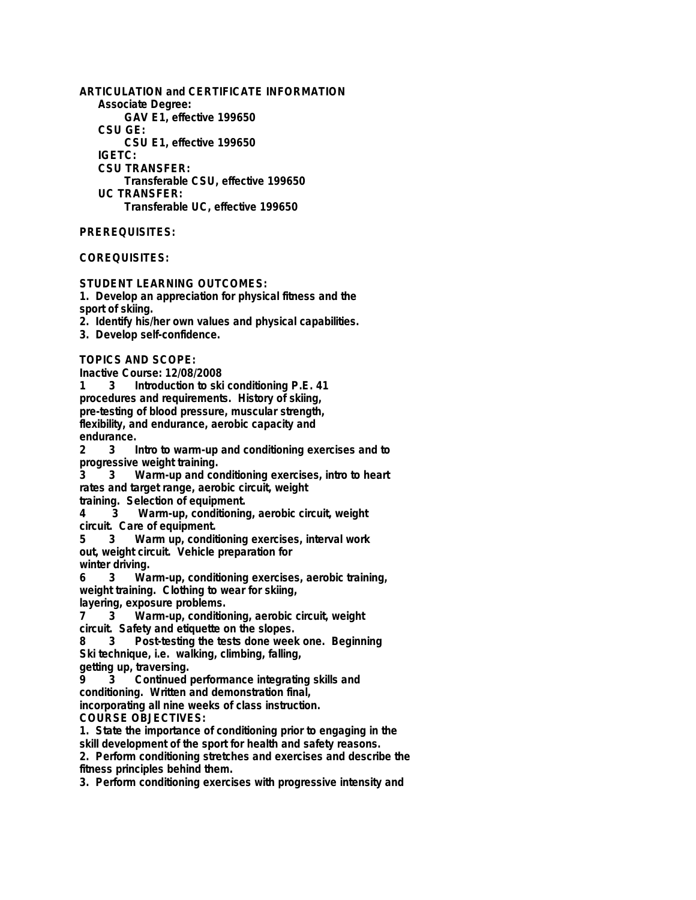**ARTICULATION and CERTIFICATE INFORMATION Associate Degree: GAV E1, effective 199650 CSU GE: CSU E1, effective 199650 IGETC: CSU TRANSFER: Transferable CSU, effective 199650 UC TRANSFER: Transferable UC, effective 199650**

**PREREQUISITES:**

## **COREQUISITES:**

**STUDENT LEARNING OUTCOMES:**

**1. Develop an appreciation for physical fitness and the sport of skiing.**

**2. Identify his/her own values and physical capabilities.**

**3. Develop self-confidence.**

**TOPICS AND SCOPE:**

**Inactive Course: 12/08/2008**

**1 3 Introduction to ski conditioning P.E. 41 procedures and requirements. History of skiing, pre-testing of blood pressure, muscular strength, flexibility, and endurance, aerobic capacity and endurance.**

**2 3 Intro to warm-up and conditioning exercises and to progressive weight training.**

**3 3 Warm-up and conditioning exercises, intro to heart rates and target range, aerobic circuit, weight**

**training. Selection of equipment.**

**4 3 Warm-up, conditioning, aerobic circuit, weight circuit. Care of equipment.**

**5 3 Warm up, conditioning exercises, interval work out, weight circuit. Vehicle preparation for**

**winter driving.**

**6 3 Warm-up, conditioning exercises, aerobic training, weight training. Clothing to wear for skiing, layering, exposure problems.**

**7 3 Warm-up, conditioning, aerobic circuit, weight circuit. Safety and etiquette on the slopes.**

**8 3 Post-testing the tests done week one. Beginning Ski technique, i.e. walking, climbing, falling,**

**getting up, traversing.**

**9 3 Continued performance integrating skills and conditioning. Written and demonstration final,**

**incorporating all nine weeks of class instruction.**

**COURSE OBJECTIVES:**

**1. State the importance of conditioning prior to engaging in the**

**skill development of the sport for health and safety reasons.**

**2. Perform conditioning stretches and exercises and describe the fitness principles behind them.**

**3. Perform conditioning exercises with progressive intensity and**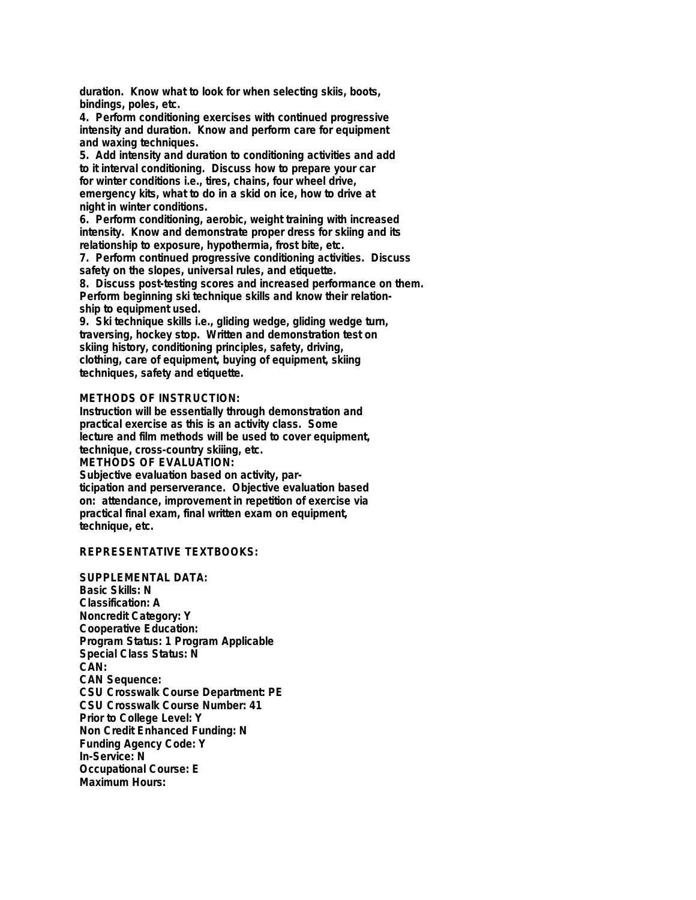**duration. Know what to look for when selecting skiis, boots, bindings, poles, etc.**

**4. Perform conditioning exercises with continued progressive intensity and duration. Know and perform care for equipment and waxing techniques.**

**5. Add intensity and duration to conditioning activities and add to it interval conditioning. Discuss how to prepare your car for winter conditions i.e., tires, chains, four wheel drive, emergency kits, what to do in a skid on ice, how to drive at night in winter conditions.**

**6. Perform conditioning, aerobic, weight training with increased intensity. Know and demonstrate proper dress for skiing and its relationship to exposure, hypothermia, frost bite, etc.**

**7. Perform continued progressive conditioning activities. Discuss safety on the slopes, universal rules, and etiquette.**

**8. Discuss post-testing scores and increased performance on them. Perform beginning ski technique skills and know their relationship to equipment used.**

**9. Ski technique skills i.e., gliding wedge, gliding wedge turn, traversing, hockey stop. Written and demonstration test on skiing history, conditioning principles, safety, driving, clothing, care of equipment, buying of equipment, skiing techniques, safety and etiquette.**

## **METHODS OF INSTRUCTION:**

**Instruction will be essentially through demonstration and practical exercise as this is an activity class. Some lecture and film methods will be used to cover equipment, technique, cross-country skiiing, etc. METHODS OF EVALUATION: Subjective evaluation based on activity, participation and perserverance. Objective evaluation based on: attendance, improvement in repetition of exercise via practical final exam, final written exam on equipment,**

**technique, etc.**

## **REPRESENTATIVE TEXTBOOKS:**

**SUPPLEMENTAL DATA: Basic Skills: N Classification: A Noncredit Category: Y Cooperative Education: Program Status: 1 Program Applicable Special Class Status: N CAN: CAN Sequence: CSU Crosswalk Course Department: PE CSU Crosswalk Course Number: 41 Prior to College Level: Y Non Credit Enhanced Funding: N Funding Agency Code: Y In-Service: N Occupational Course: E Maximum Hours:**